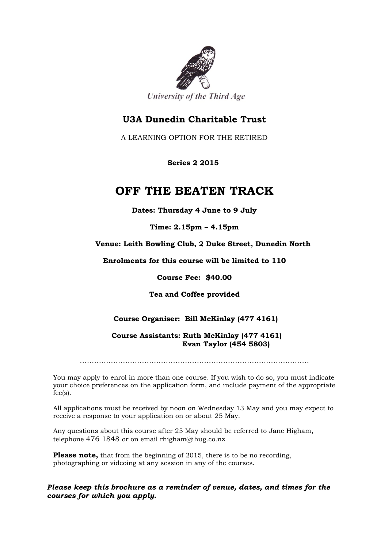

University of the Third Age

## **U3A Dunedin Charitable Trust**

A LEARNING OPTION FOR THE RETIRED

 **Series 2 2015**

## **OFF THE BEATEN TRACK**

**Dates: Thursday 4 June to 9 July**

**Time: 2.15pm – 4.15pm**

**Venue: Leith Bowling Club, 2 Duke Street, Dunedin North**

**Enrolments for this course will be limited to 110**

**Course Fee: \$40.00**

**Tea and Coffee provided**

## **Course Organiser: Bill McKinlay (477 4161)**

 **Course Assistants: Ruth McKinlay (477 4161) Evan Taylor (454 5803)**

……………………………………………………………………………………

You may apply to enrol in more than one course. If you wish to do so, you must indicate your choice preferences on the application form, and include payment of the appropriate fee(s).

All applications must be received by noon on Wednesday 13 May and you may expect to receive a response to your application on or about 25 May.

Any questions about this course after 25 May should be referred to Jane Higham, telephone 476 1848 or on email rhigham@ihug.co.nz

**Please note,** that from the beginning of 2015, there is to be no recording, photographing or videoing at any session in any of the courses.

*Please keep this brochure as a reminder of venue, dates, and times for the courses for which you apply.*